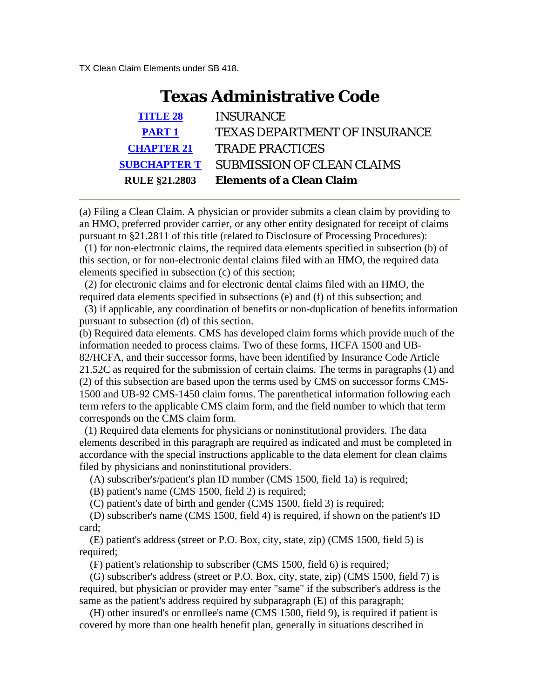TX Clean Claim Elements under SB 418.

| <b>Texas Administrative Code</b> |                                      |
|----------------------------------|--------------------------------------|
| <b>TITLE 28</b>                  | <b>INSURANCE</b>                     |
| <b>PART 1</b>                    | <b>TEXAS DEPARTMENT OF INSURANCE</b> |
| <b>CHAPTER 21</b>                | <b>TRADE PRACTICES</b>               |
| <b>SUBCHAPTER T</b>              | <b>SUBMISSION OF CLEAN CLAIMS</b>    |
| <b>RULE §21.2803</b>             | <b>Elements of a Clean Claim</b>     |

(a) Filing a Clean Claim. A physician or provider submits a clean claim by providing to an HMO, preferred provider carrier, or any other entity designated for receipt of claims pursuant to §21.2811 of this title (related to Disclosure of Processing Procedures):

 (1) for non-electronic claims, the required data elements specified in subsection (b) of this section, or for non-electronic dental claims filed with an HMO, the required data elements specified in subsection (c) of this section;

 (2) for electronic claims and for electronic dental claims filed with an HMO, the required data elements specified in subsections (e) and (f) of this subsection; and

 (3) if applicable, any coordination of benefits or non-duplication of benefits information pursuant to subsection (d) of this section.

(b) Required data elements. CMS has developed claim forms which provide much of the information needed to process claims. Two of these forms, HCFA 1500 and UB-82/HCFA, and their successor forms, have been identified by Insurance Code Article 21.52C as required for the submission of certain claims. The terms in paragraphs (1) and (2) of this subsection are based upon the terms used by CMS on successor forms CMS-1500 and UB-92 CMS-1450 claim forms. The parenthetical information following each term refers to the applicable CMS claim form, and the field number to which that term corresponds on the CMS claim form.

 (1) Required data elements for physicians or noninstitutional providers. The data elements described in this paragraph are required as indicated and must be completed in accordance with the special instructions applicable to the data element for clean claims filed by physicians and noninstitutional providers.

(A) subscriber's/patient's plan ID number (CMS 1500, field 1a) is required;

(B) patient's name (CMS 1500, field 2) is required;

(C) patient's date of birth and gender (CMS 1500, field 3) is required;

 (D) subscriber's name (CMS 1500, field 4) is required, if shown on the patient's ID card;

 (E) patient's address (street or P.O. Box, city, state, zip) (CMS 1500, field 5) is required;

(F) patient's relationship to subscriber (CMS 1500, field 6) is required;

 (G) subscriber's address (street or P.O. Box, city, state, zip) (CMS 1500, field 7) is required, but physician or provider may enter "same" if the subscriber's address is the same as the patient's address required by subparagraph (E) of this paragraph;

 (H) other insured's or enrollee's name (CMS 1500, field 9), is required if patient is covered by more than one health benefit plan, generally in situations described in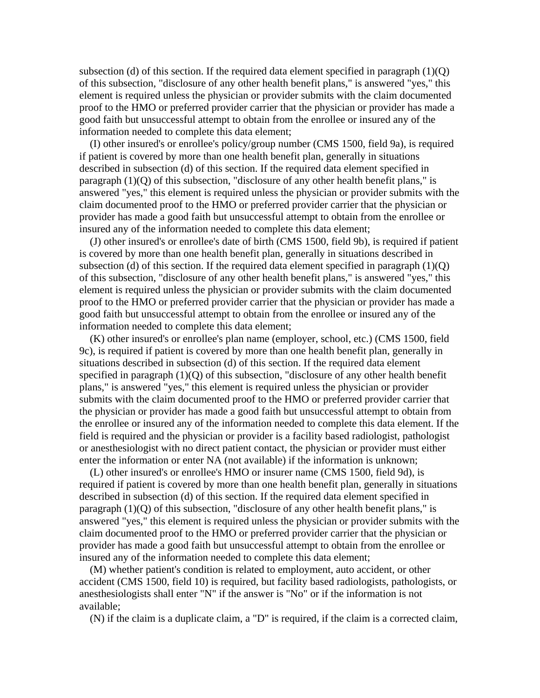subsection (d) of this section. If the required data element specified in paragraph  $(1)(Q)$ of this subsection, "disclosure of any other health benefit plans," is answered "yes," this element is required unless the physician or provider submits with the claim documented proof to the HMO or preferred provider carrier that the physician or provider has made a good faith but unsuccessful attempt to obtain from the enrollee or insured any of the information needed to complete this data element;

 (I) other insured's or enrollee's policy/group number (CMS 1500, field 9a), is required if patient is covered by more than one health benefit plan, generally in situations described in subsection (d) of this section. If the required data element specified in paragraph  $(1)(Q)$  of this subsection, "disclosure of any other health benefit plans," is answered "yes," this element is required unless the physician or provider submits with the claim documented proof to the HMO or preferred provider carrier that the physician or provider has made a good faith but unsuccessful attempt to obtain from the enrollee or insured any of the information needed to complete this data element;

 (J) other insured's or enrollee's date of birth (CMS 1500, field 9b), is required if patient is covered by more than one health benefit plan, generally in situations described in subsection (d) of this section. If the required data element specified in paragraph  $(1)(Q)$ of this subsection, "disclosure of any other health benefit plans," is answered "yes," this element is required unless the physician or provider submits with the claim documented proof to the HMO or preferred provider carrier that the physician or provider has made a good faith but unsuccessful attempt to obtain from the enrollee or insured any of the information needed to complete this data element;

 (K) other insured's or enrollee's plan name (employer, school, etc.) (CMS 1500, field 9c), is required if patient is covered by more than one health benefit plan, generally in situations described in subsection (d) of this section. If the required data element specified in paragraph  $(1)(Q)$  of this subsection, "disclosure of any other health benefit plans," is answered "yes," this element is required unless the physician or provider submits with the claim documented proof to the HMO or preferred provider carrier that the physician or provider has made a good faith but unsuccessful attempt to obtain from the enrollee or insured any of the information needed to complete this data element. If the field is required and the physician or provider is a facility based radiologist, pathologist or anesthesiologist with no direct patient contact, the physician or provider must either enter the information or enter NA (not available) if the information is unknown;

 (L) other insured's or enrollee's HMO or insurer name (CMS 1500, field 9d), is required if patient is covered by more than one health benefit plan, generally in situations described in subsection (d) of this section. If the required data element specified in paragraph  $(1)(Q)$  of this subsection, "disclosure of any other health benefit plans," is answered "yes," this element is required unless the physician or provider submits with the claim documented proof to the HMO or preferred provider carrier that the physician or provider has made a good faith but unsuccessful attempt to obtain from the enrollee or insured any of the information needed to complete this data element;

 (M) whether patient's condition is related to employment, auto accident, or other accident (CMS 1500, field 10) is required, but facility based radiologists, pathologists, or anesthesiologists shall enter "N" if the answer is "No" or if the information is not available;

(N) if the claim is a duplicate claim, a "D" is required, if the claim is a corrected claim,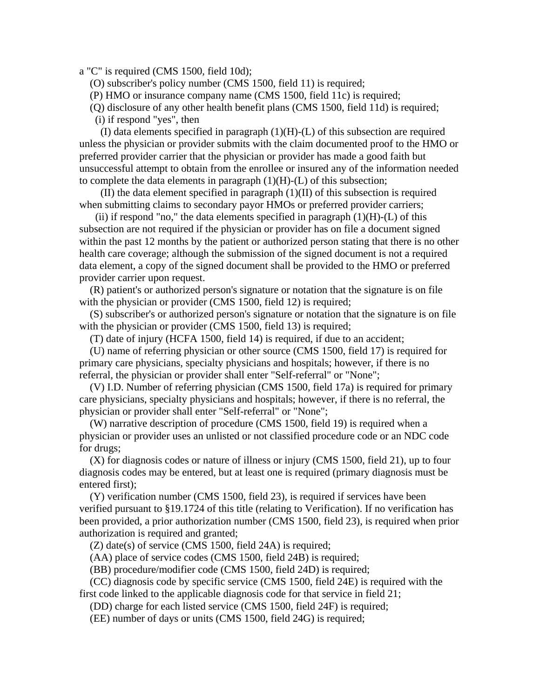a "C" is required (CMS 1500, field 10d);

- (O) subscriber's policy number (CMS 1500, field 11) is required;
- (P) HMO or insurance company name (CMS 1500, field 11c) is required;
- (Q) disclosure of any other health benefit plans (CMS 1500, field 11d) is required;
- (i) if respond "yes", then

 (I) data elements specified in paragraph (1)(H)-(L) of this subsection are required unless the physician or provider submits with the claim documented proof to the HMO or preferred provider carrier that the physician or provider has made a good faith but unsuccessful attempt to obtain from the enrollee or insured any of the information needed to complete the data elements in paragraph  $(1)(H)-(L)$  of this subsection;

 (II) the data element specified in paragraph (1)(II) of this subsection is required when submitting claims to secondary payor HMOs or preferred provider carriers;

(ii) if respond "no," the data elements specified in paragraph  $(1)(H)-(L)$  of this subsection are not required if the physician or provider has on file a document signed within the past 12 months by the patient or authorized person stating that there is no other health care coverage; although the submission of the signed document is not a required data element, a copy of the signed document shall be provided to the HMO or preferred provider carrier upon request.

 (R) patient's or authorized person's signature or notation that the signature is on file with the physician or provider (CMS 1500, field 12) is required;

 (S) subscriber's or authorized person's signature or notation that the signature is on file with the physician or provider (CMS 1500, field 13) is required;

(T) date of injury (HCFA 1500, field 14) is required, if due to an accident;

 (U) name of referring physician or other source (CMS 1500, field 17) is required for primary care physicians, specialty physicians and hospitals; however, if there is no referral, the physician or provider shall enter "Self-referral" or "None";

 (V) I.D. Number of referring physician (CMS 1500, field 17a) is required for primary care physicians, specialty physicians and hospitals; however, if there is no referral, the physician or provider shall enter "Self-referral" or "None";

 (W) narrative description of procedure (CMS 1500, field 19) is required when a physician or provider uses an unlisted or not classified procedure code or an NDC code for drugs;

 (X) for diagnosis codes or nature of illness or injury (CMS 1500, field 21), up to four diagnosis codes may be entered, but at least one is required (primary diagnosis must be entered first);

 (Y) verification number (CMS 1500, field 23), is required if services have been verified pursuant to §19.1724 of this title (relating to Verification). If no verification has been provided, a prior authorization number (CMS 1500, field 23), is required when prior authorization is required and granted;

(Z) date(s) of service (CMS 1500, field 24A) is required;

(AA) place of service codes (CMS 1500, field 24B) is required;

(BB) procedure/modifier code (CMS 1500, field 24D) is required;

 (CC) diagnosis code by specific service (CMS 1500, field 24E) is required with the first code linked to the applicable diagnosis code for that service in field 21;

(DD) charge for each listed service (CMS 1500, field 24F) is required;

(EE) number of days or units (CMS 1500, field 24G) is required;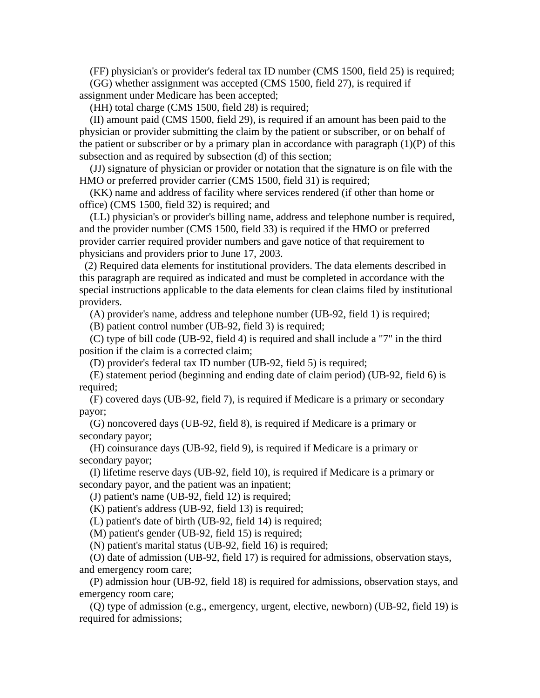(FF) physician's or provider's federal tax ID number (CMS 1500, field 25) is required;

 (GG) whether assignment was accepted (CMS 1500, field 27), is required if assignment under Medicare has been accepted;

(HH) total charge (CMS 1500, field 28) is required;

 (II) amount paid (CMS 1500, field 29), is required if an amount has been paid to the physician or provider submitting the claim by the patient or subscriber, or on behalf of the patient or subscriber or by a primary plan in accordance with paragraph  $(1)(P)$  of this subsection and as required by subsection (d) of this section;

 (JJ) signature of physician or provider or notation that the signature is on file with the HMO or preferred provider carrier (CMS 1500, field 31) is required;

 (KK) name and address of facility where services rendered (if other than home or office) (CMS 1500, field 32) is required; and

 (LL) physician's or provider's billing name, address and telephone number is required, and the provider number (CMS 1500, field 33) is required if the HMO or preferred provider carrier required provider numbers and gave notice of that requirement to physicians and providers prior to June 17, 2003.

 (2) Required data elements for institutional providers. The data elements described in this paragraph are required as indicated and must be completed in accordance with the special instructions applicable to the data elements for clean claims filed by institutional providers.

(A) provider's name, address and telephone number (UB-92, field 1) is required;

(B) patient control number (UB-92, field 3) is required;

 (C) type of bill code (UB-92, field 4) is required and shall include a "7" in the third position if the claim is a corrected claim;

(D) provider's federal tax ID number (UB-92, field 5) is required;

 (E) statement period (beginning and ending date of claim period) (UB-92, field 6) is required;

 (F) covered days (UB-92, field 7), is required if Medicare is a primary or secondary payor;

 (G) noncovered days (UB-92, field 8), is required if Medicare is a primary or secondary payor;

 (H) coinsurance days (UB-92, field 9), is required if Medicare is a primary or secondary payor;

 (I) lifetime reserve days (UB-92, field 10), is required if Medicare is a primary or secondary payor, and the patient was an inpatient;

(J) patient's name (UB-92, field 12) is required;

(K) patient's address (UB-92, field 13) is required;

(L) patient's date of birth (UB-92, field 14) is required;

(M) patient's gender (UB-92, field 15) is required;

(N) patient's marital status (UB-92, field 16) is required;

 (O) date of admission (UB-92, field 17) is required for admissions, observation stays, and emergency room care;

 (P) admission hour (UB-92, field 18) is required for admissions, observation stays, and emergency room care;

 (Q) type of admission (e.g., emergency, urgent, elective, newborn) (UB-92, field 19) is required for admissions;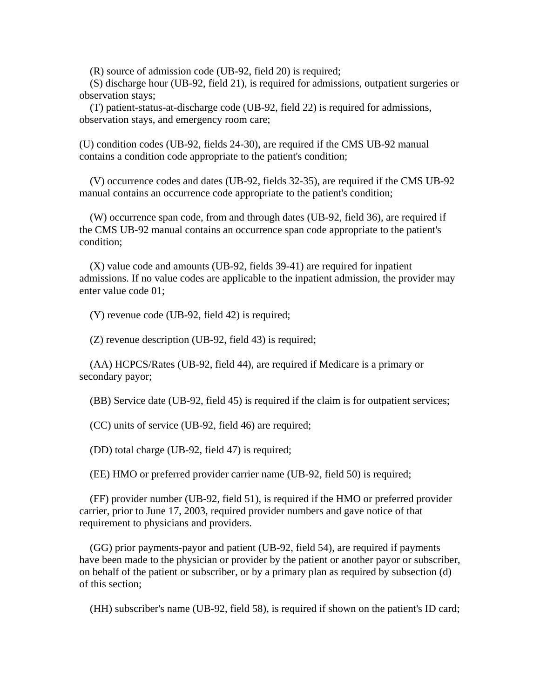(R) source of admission code (UB-92, field 20) is required;

 (S) discharge hour (UB-92, field 21), is required for admissions, outpatient surgeries or observation stays;

 (T) patient-status-at-discharge code (UB-92, field 22) is required for admissions, observation stays, and emergency room care;

(U) condition codes (UB-92, fields 24-30), are required if the CMS UB-92 manual contains a condition code appropriate to the patient's condition;

 (V) occurrence codes and dates (UB-92, fields 32-35), are required if the CMS UB-92 manual contains an occurrence code appropriate to the patient's condition;

 (W) occurrence span code, from and through dates (UB-92, field 36), are required if the CMS UB-92 manual contains an occurrence span code appropriate to the patient's condition;

 (X) value code and amounts (UB-92, fields 39-41) are required for inpatient admissions. If no value codes are applicable to the inpatient admission, the provider may enter value code 01;

(Y) revenue code (UB-92, field 42) is required;

(Z) revenue description (UB-92, field 43) is required;

 (AA) HCPCS/Rates (UB-92, field 44), are required if Medicare is a primary or secondary payor;

(BB) Service date (UB-92, field 45) is required if the claim is for outpatient services;

(CC) units of service (UB-92, field 46) are required;

(DD) total charge (UB-92, field 47) is required;

(EE) HMO or preferred provider carrier name (UB-92, field 50) is required;

 (FF) provider number (UB-92, field 51), is required if the HMO or preferred provider carrier, prior to June 17, 2003, required provider numbers and gave notice of that requirement to physicians and providers.

 (GG) prior payments-payor and patient (UB-92, field 54), are required if payments have been made to the physician or provider by the patient or another payor or subscriber, on behalf of the patient or subscriber, or by a primary plan as required by subsection (d) of this section;

(HH) subscriber's name (UB-92, field 58), is required if shown on the patient's ID card;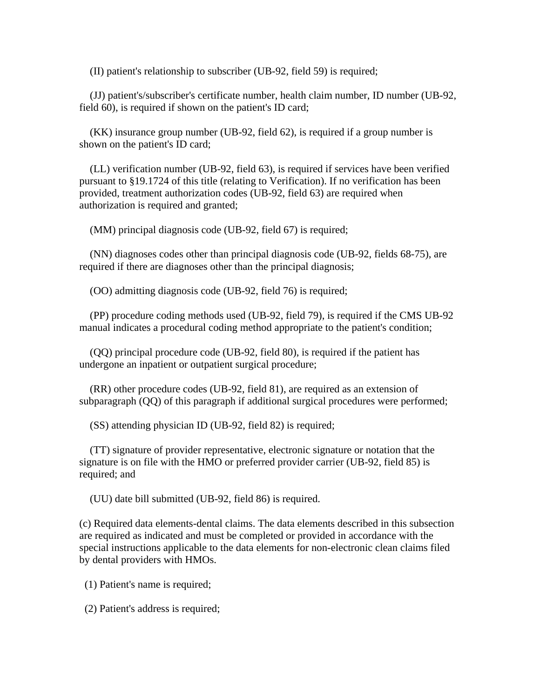(II) patient's relationship to subscriber (UB-92, field 59) is required;

 (JJ) patient's/subscriber's certificate number, health claim number, ID number (UB-92, field 60), is required if shown on the patient's ID card;

 (KK) insurance group number (UB-92, field 62), is required if a group number is shown on the patient's ID card;

 (LL) verification number (UB-92, field 63), is required if services have been verified pursuant to §19.1724 of this title (relating to Verification). If no verification has been provided, treatment authorization codes (UB-92, field 63) are required when authorization is required and granted;

(MM) principal diagnosis code (UB-92, field 67) is required;

 (NN) diagnoses codes other than principal diagnosis code (UB-92, fields 68-75), are required if there are diagnoses other than the principal diagnosis;

(OO) admitting diagnosis code (UB-92, field 76) is required;

 (PP) procedure coding methods used (UB-92, field 79), is required if the CMS UB-92 manual indicates a procedural coding method appropriate to the patient's condition;

 (QQ) principal procedure code (UB-92, field 80), is required if the patient has undergone an inpatient or outpatient surgical procedure;

 (RR) other procedure codes (UB-92, field 81), are required as an extension of subparagraph (QQ) of this paragraph if additional surgical procedures were performed;

(SS) attending physician ID (UB-92, field 82) is required;

 (TT) signature of provider representative, electronic signature or notation that the signature is on file with the HMO or preferred provider carrier (UB-92, field 85) is required; and

(UU) date bill submitted (UB-92, field 86) is required.

(c) Required data elements-dental claims. The data elements described in this subsection are required as indicated and must be completed or provided in accordance with the special instructions applicable to the data elements for non-electronic clean claims filed by dental providers with HMOs.

(1) Patient's name is required;

(2) Patient's address is required;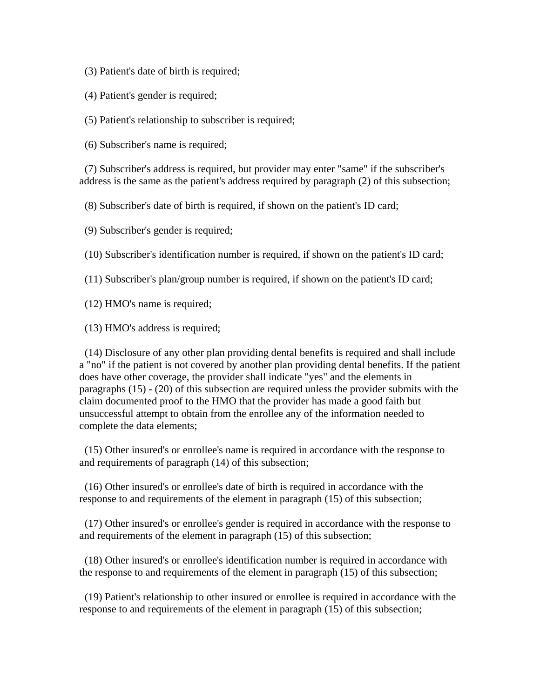- (3) Patient's date of birth is required;
- (4) Patient's gender is required;
- (5) Patient's relationship to subscriber is required;
- (6) Subscriber's name is required;

 (7) Subscriber's address is required, but provider may enter "same" if the subscriber's address is the same as the patient's address required by paragraph (2) of this subsection;

(8) Subscriber's date of birth is required, if shown on the patient's ID card;

(9) Subscriber's gender is required;

(10) Subscriber's identification number is required, if shown on the patient's ID card;

(11) Subscriber's plan/group number is required, if shown on the patient's ID card;

(12) HMO's name is required;

(13) HMO's address is required;

 (14) Disclosure of any other plan providing dental benefits is required and shall include a "no" if the patient is not covered by another plan providing dental benefits. If the patient does have other coverage, the provider shall indicate "yes" and the elements in paragraphs (15) - (20) of this subsection are required unless the provider submits with the claim documented proof to the HMO that the provider has made a good faith but unsuccessful attempt to obtain from the enrollee any of the information needed to complete the data elements;

 (15) Other insured's or enrollee's name is required in accordance with the response to and requirements of paragraph (14) of this subsection;

 (16) Other insured's or enrollee's date of birth is required in accordance with the response to and requirements of the element in paragraph (15) of this subsection;

 (17) Other insured's or enrollee's gender is required in accordance with the response to and requirements of the element in paragraph (15) of this subsection;

 (18) Other insured's or enrollee's identification number is required in accordance with the response to and requirements of the element in paragraph (15) of this subsection;

 (19) Patient's relationship to other insured or enrollee is required in accordance with the response to and requirements of the element in paragraph (15) of this subsection;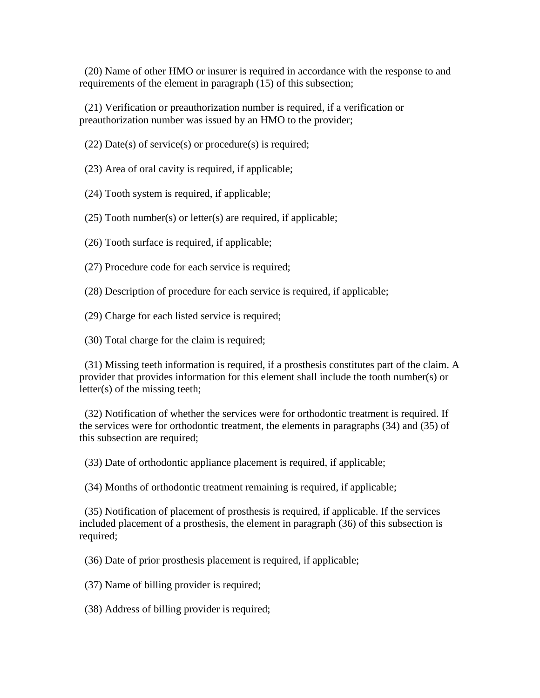(20) Name of other HMO or insurer is required in accordance with the response to and requirements of the element in paragraph (15) of this subsection;

 (21) Verification or preauthorization number is required, if a verification or preauthorization number was issued by an HMO to the provider;

 $(22)$  Date(s) of service(s) or procedure(s) is required;

(23) Area of oral cavity is required, if applicable;

(24) Tooth system is required, if applicable;

(25) Tooth number(s) or letter(s) are required, if applicable;

(26) Tooth surface is required, if applicable;

(27) Procedure code for each service is required;

(28) Description of procedure for each service is required, if applicable;

(29) Charge for each listed service is required;

(30) Total charge for the claim is required;

 (31) Missing teeth information is required, if a prosthesis constitutes part of the claim. A provider that provides information for this element shall include the tooth number(s) or letter(s) of the missing teeth;

 (32) Notification of whether the services were for orthodontic treatment is required. If the services were for orthodontic treatment, the elements in paragraphs (34) and (35) of this subsection are required;

(33) Date of orthodontic appliance placement is required, if applicable;

(34) Months of orthodontic treatment remaining is required, if applicable;

 (35) Notification of placement of prosthesis is required, if applicable. If the services included placement of a prosthesis, the element in paragraph (36) of this subsection is required;

(36) Date of prior prosthesis placement is required, if applicable;

(37) Name of billing provider is required;

(38) Address of billing provider is required;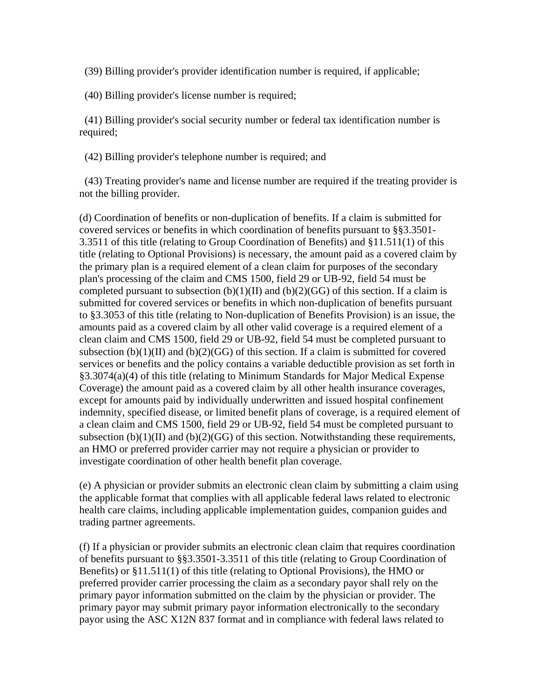(39) Billing provider's provider identification number is required, if applicable;

(40) Billing provider's license number is required;

 (41) Billing provider's social security number or federal tax identification number is required;

(42) Billing provider's telephone number is required; and

 (43) Treating provider's name and license number are required if the treating provider is not the billing provider.

(d) Coordination of benefits or non-duplication of benefits. If a claim is submitted for covered services or benefits in which coordination of benefits pursuant to §§3.3501- 3.3511 of this title (relating to Group Coordination of Benefits) and §11.511(1) of this title (relating to Optional Provisions) is necessary, the amount paid as a covered claim by the primary plan is a required element of a clean claim for purposes of the secondary plan's processing of the claim and CMS 1500, field 29 or UB-92, field 54 must be completed pursuant to subsection  $(b)(1)(II)$  and  $(b)(2)(GG)$  of this section. If a claim is submitted for covered services or benefits in which non-duplication of benefits pursuant to §3.3053 of this title (relating to Non-duplication of Benefits Provision) is an issue, the amounts paid as a covered claim by all other valid coverage is a required element of a clean claim and CMS 1500, field 29 or UB-92, field 54 must be completed pursuant to subsection  $(b)(1)(II)$  and  $(b)(2)(GG)$  of this section. If a claim is submitted for covered services or benefits and the policy contains a variable deductible provision as set forth in §3.3074(a)(4) of this title (relating to Minimum Standards for Major Medical Expense Coverage) the amount paid as a covered claim by all other health insurance coverages, except for amounts paid by individually underwritten and issued hospital confinement indemnity, specified disease, or limited benefit plans of coverage, is a required element of a clean claim and CMS 1500, field 29 or UB-92, field 54 must be completed pursuant to subsection  $(b)(1)(II)$  and  $(b)(2)(GG)$  of this section. Notwithstanding these requirements, an HMO or preferred provider carrier may not require a physician or provider to investigate coordination of other health benefit plan coverage.

(e) A physician or provider submits an electronic clean claim by submitting a claim using the applicable format that complies with all applicable federal laws related to electronic health care claims, including applicable implementation guides, companion guides and trading partner agreements.

(f) If a physician or provider submits an electronic clean claim that requires coordination of benefits pursuant to §§3.3501-3.3511 of this title (relating to Group Coordination of Benefits) or §11.511(1) of this title (relating to Optional Provisions), the HMO or preferred provider carrier processing the claim as a secondary payor shall rely on the primary payor information submitted on the claim by the physician or provider. The primary payor may submit primary payor information electronically to the secondary payor using the ASC X12N 837 format and in compliance with federal laws related to